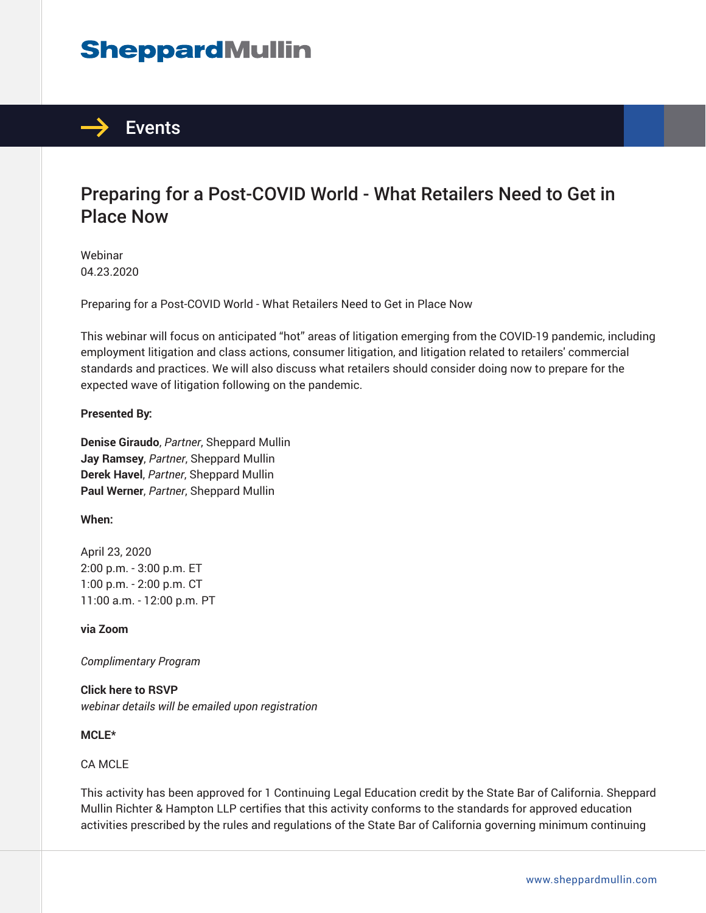# **SheppardMullin**



## Preparing for a Post-COVID World - What Retailers Need to Get in Place Now

Webinar 04.23.2020

Preparing for a Post-COVID World - What Retailers Need to Get in Place Now

This webinar will focus on anticipated "hot" areas of litigation emerging from the COVID-19 pandemic, including employment litigation and class actions, consumer litigation, and litigation related to retailers' commercial standards and practices. We will also discuss what retailers should consider doing now to prepare for the expected wave of litigation following on the pandemic.

#### **Presented By:**

**Denise Giraudo**, *Partner*, Sheppard Mullin **Jay Ramsey**, *Partner*, Sheppard Mullin **Derek Havel**, *Partner*, Sheppard Mullin **Paul Werner**, *Partner*, Sheppard Mullin

#### **When:**

April 23, 2020 2:00 p.m. - 3:00 p.m. ET 1:00 p.m. - 2:00 p.m. CT 11:00 a.m. - 12:00 p.m. PT

**via Zoom**

*Complimentary Program*

**Click here to RSVP** *webinar details will be emailed upon registration*

#### **MCLE\***

#### CA MCLE

This activity has been approved for 1 Continuing Legal Education credit by the State Bar of California. Sheppard Mullin Richter & Hampton LLP certifies that this activity conforms to the standards for approved education activities prescribed by the rules and regulations of the State Bar of California governing minimum continuing